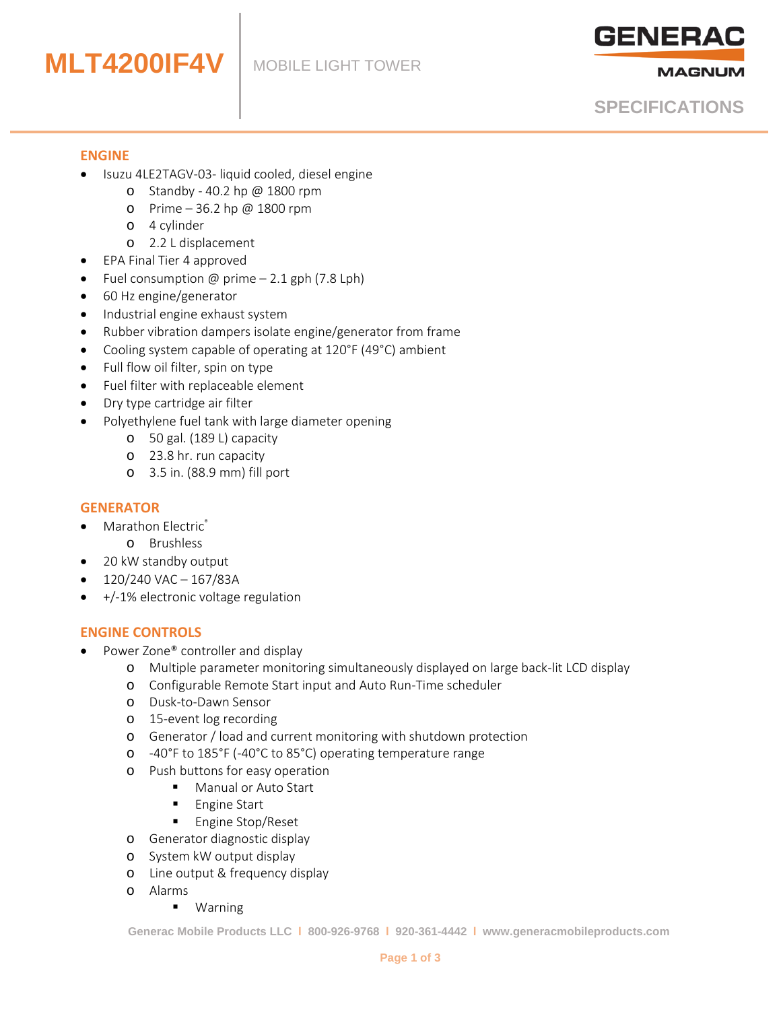# **MLT4200IF4V**



**MAGNUM** 

# **SPECIFICATIONS**

#### **ENGINE**

- Isuzu 4LE2TAGV-03- liquid cooled, diesel engine
	- o Standby 40.2 hp @ 1800 rpm
	- o Prime 36.2 hp @ 1800 rpm
	- o 4 cylinder
	- o 2.2 L displacement
- EPA Final Tier 4 approved
- Fuel consumption @ prime 2.1 gph (7.8 Lph)
- 60 Hz engine/generator
- Industrial engine exhaust system
- Rubber vibration dampers isolate engine/generator from frame
- Cooling system capable of operating at 120°F (49°C) ambient
- Full flow oil filter, spin on type
- Fuel filter with replaceable element
- Dry type cartridge air filter
- Polyethylene fuel tank with large diameter opening
	- o 50 gal. (189 L) capacity
	- o 23.8 hr. run capacity
	- o 3.5 in. (88.9 mm) fill port

#### **GENERATOR**

- Marathon Electric®
	- o Brushless
- 20 kW standby output
- 120/240 VAC 167/83A
- +/-1% electronic voltage regulation

#### **ENGINE CONTROLS**

- Power Zone® controller and display
	- o Multiple parameter monitoring simultaneously displayed on large back-lit LCD display
	- o Configurable Remote Start input and Auto Run-Time scheduler
	- o Dusk-to-Dawn Sensor
	- o 15-event log recording
	- o Generator / load and current monitoring with shutdown protection
	- o -40°F to 185°F (-40°C to 85°C) operating temperature range
	- o Push buttons for easy operation
		- **Manual or Auto Start**
		- **Engine Start**
		- **Engine Stop/Reset**
	- o Generator diagnostic display
	- o System kW output display
	- o Line output & frequency display
	- o Alarms
		- Warning

**Generac Mobile Products LLC l 800-926-9768 l 920-361-4442 l www.generacmobileproducts.com**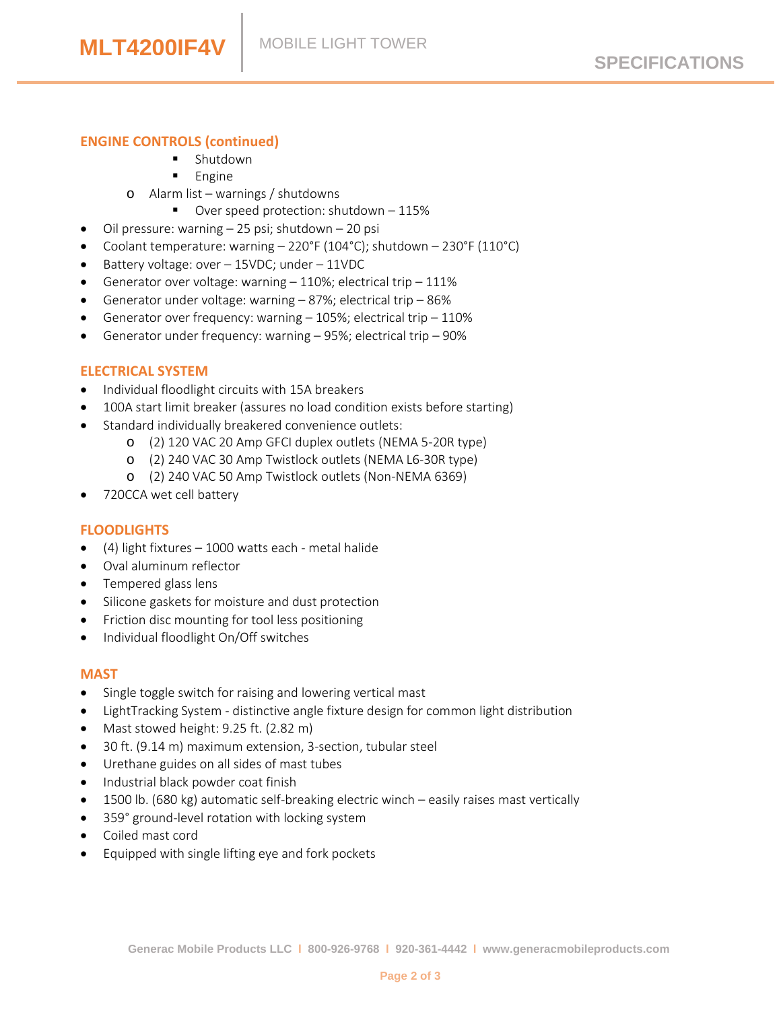# **ENGINE CONTROLS (continued)**

- **Shutdown**
- Engine
- o Alarm list warnings / shutdowns
	- Over speed protection: shutdown 115%
- Oil pressure: warning 25 psi; shutdown 20 psi
- Coolant temperature: warning 220°F (104°C); shutdown 230°F (110°C)
- Battery voltage: over 15VDC; under 11VDC
- Generator over voltage: warning  $-110\%$ ; electrical trip  $-111\%$
- Generator under voltage: warning 87%; electrical trip 86%
- Generator over frequency: warning  $-$  105%; electrical trip  $-$  110%
- Generator under frequency: warning 95%; electrical trip 90%

# **ELECTRICAL SYSTEM**

- Individual floodlight circuits with 15A breakers
- 100A start limit breaker (assures no load condition exists before starting)
- Standard individually breakered convenience outlets:
	- o (2) 120 VAC 20 Amp GFCI duplex outlets (NEMA 5-20R type)
	- o (2) 240 VAC 30 Amp Twistlock outlets (NEMA L6-30R type)
	- o (2) 240 VAC 50 Amp Twistlock outlets (Non-NEMA 6369)
- 720CCA wet cell battery

#### **FLOODLIGHTS**

- (4) light fixtures 1000 watts each metal halide
- Oval aluminum reflector
- Tempered glass lens
- Silicone gaskets for moisture and dust protection
- Friction disc mounting for tool less positioning
- Individual floodlight On/Off switches

#### **MAST**

- Single toggle switch for raising and lowering vertical mast
- LightTracking System distinctive angle fixture design for common light distribution
- Mast stowed height: 9.25 ft. (2.82 m)
- 30 ft. (9.14 m) maximum extension, 3-section, tubular steel
- Urethane guides on all sides of mast tubes
- Industrial black powder coat finish
- 1500 lb. (680 kg) automatic self-breaking electric winch easily raises mast vertically
- 359° ground-level rotation with locking system
- Coiled mast cord
- Equipped with single lifting eye and fork pockets